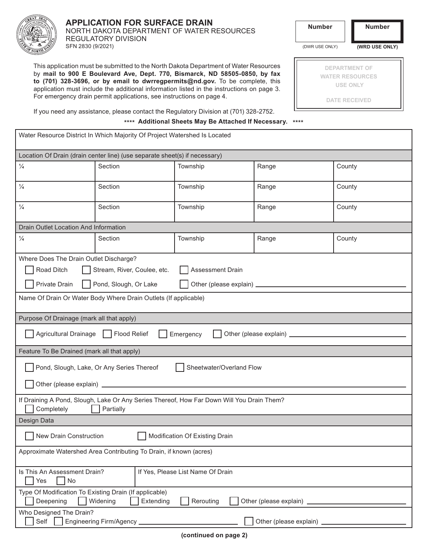

SFN 2830 (9/2021)

### **APPLICATION FOR SURFACE DRAIN** NORTH DAKOTA DEPARTMENT OF WATER RESOURCES REGULATORY DIVISION

**DEPARTMENT OF WATER RESOURCES USE ONLY**

**DATE RECEIVED**

**Number Number**

(DWR USE ONLY) **(WRD USE ONLY)**

| This application must be submitted to the North Dakota Department of Water Resources      |
|-------------------------------------------------------------------------------------------|
| by mail to 900 E Boulevard Ave, Dept. 770, Bismarck, ND 58505-0850, by fax                |
| to (701) 328-3696, or by email to dwrregpermits@nd.gov. To be complete, this              |
| application must include the additional information listed in the instructions on page 3. |
| For emergency drain permit applications, see instructions on page 4.                      |

If you need any assistance, please contact the Regulatory Division at (701) 328-2752.

**\*\*\*\* Additional Sheets May Be Attached If Necessary. \*\*\*\***

| Water Resource District In Which Majority Of Project Watershed Is Located                                                           |         |          |       |        |  |  |  |  |  |
|-------------------------------------------------------------------------------------------------------------------------------------|---------|----------|-------|--------|--|--|--|--|--|
| Location Of Drain (drain center line) (use separate sheet(s) if necessary)                                                          |         |          |       |        |  |  |  |  |  |
| $\frac{1}{4}$                                                                                                                       | Section | Township | Range | County |  |  |  |  |  |
| $\frac{1}{4}$                                                                                                                       | Section | Township | Range | County |  |  |  |  |  |
| $\frac{1}{4}$                                                                                                                       | Section | Township | Range | County |  |  |  |  |  |
| Drain Outlet Location And Information                                                                                               |         |          |       |        |  |  |  |  |  |
| $\frac{1}{4}$                                                                                                                       | Section | Township | Range | County |  |  |  |  |  |
| Where Does The Drain Outlet Discharge?                                                                                              |         |          |       |        |  |  |  |  |  |
| Road Ditch<br>Stream, River, Coulee, etc.<br>Assessment Drain                                                                       |         |          |       |        |  |  |  |  |  |
| Private Drain<br>Pond, Slough, Or Lake                                                                                              |         |          |       |        |  |  |  |  |  |
| Name Of Drain Or Water Body Where Drain Outlets (If applicable)                                                                     |         |          |       |        |  |  |  |  |  |
| Purpose Of Drainage (mark all that apply)                                                                                           |         |          |       |        |  |  |  |  |  |
| Agricultural Drainage    <br>Flood Relief<br>Emergency                                                                              |         |          |       |        |  |  |  |  |  |
| Feature To Be Drained (mark all that apply)                                                                                         |         |          |       |        |  |  |  |  |  |
| Pond, Slough, Lake, Or Any Series Thereof<br>Sheetwater/Overland Flow                                                               |         |          |       |        |  |  |  |  |  |
|                                                                                                                                     |         |          |       |        |  |  |  |  |  |
| If Draining A Pond, Slough, Lake Or Any Series Thereof, How Far Down Will You Drain Them?<br>Completely<br>Partially                |         |          |       |        |  |  |  |  |  |
| Design Data                                                                                                                         |         |          |       |        |  |  |  |  |  |
| New Drain Construction<br>Modification Of Existing Drain                                                                            |         |          |       |        |  |  |  |  |  |
| Approximate Watershed Area Contributing To Drain, if known (acres)                                                                  |         |          |       |        |  |  |  |  |  |
| Is This An Assessment Drain?<br>If Yes, Please List Name Of Drain<br>No<br>Yes                                                      |         |          |       |        |  |  |  |  |  |
| Type Of Modification To Existing Drain (If applicable)<br>Deepening<br>Widening<br>Extending<br>Other (please explain)<br>Rerouting |         |          |       |        |  |  |  |  |  |
| Who Designed The Drain?<br>Self<br>Engineering Firm/Agency ____________<br>Other (please explain) _                                 |         |          |       |        |  |  |  |  |  |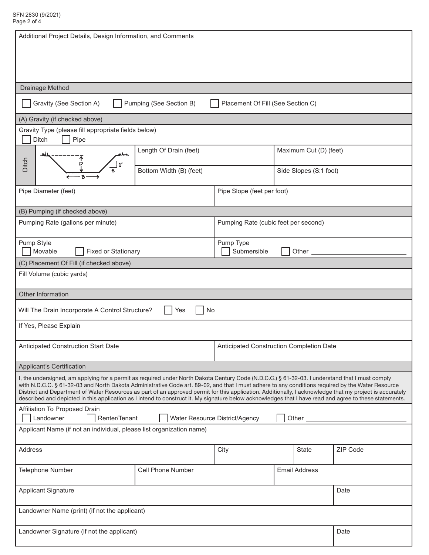| Additional Project Details, Design Information, and Comments                                                                                                                                                                                                                                                                                                                                                                                                                                                                                                                                                                |                                          |                      |                        |          |  |  |  |  |  |  |
|-----------------------------------------------------------------------------------------------------------------------------------------------------------------------------------------------------------------------------------------------------------------------------------------------------------------------------------------------------------------------------------------------------------------------------------------------------------------------------------------------------------------------------------------------------------------------------------------------------------------------------|------------------------------------------|----------------------|------------------------|----------|--|--|--|--|--|--|
|                                                                                                                                                                                                                                                                                                                                                                                                                                                                                                                                                                                                                             |                                          |                      |                        |          |  |  |  |  |  |  |
| Drainage Method                                                                                                                                                                                                                                                                                                                                                                                                                                                                                                                                                                                                             |                                          |                      |                        |          |  |  |  |  |  |  |
| Gravity (See Section A)<br>Pumping (See Section B)<br>Placement Of Fill (See Section C)                                                                                                                                                                                                                                                                                                                                                                                                                                                                                                                                     |                                          |                      |                        |          |  |  |  |  |  |  |
| (A) Gravity (if checked above)                                                                                                                                                                                                                                                                                                                                                                                                                                                                                                                                                                                              |                                          |                      |                        |          |  |  |  |  |  |  |
| Gravity Type (please fill appropriate fields below)<br>Ditch<br>Pipe                                                                                                                                                                                                                                                                                                                                                                                                                                                                                                                                                        |                                          |                      |                        |          |  |  |  |  |  |  |
|                                                                                                                                                                                                                                                                                                                                                                                                                                                                                                                                                                                                                             | Length Of Drain (feet)                   |                      | Maximum Cut (D) (feet) |          |  |  |  |  |  |  |
| Ditch                                                                                                                                                                                                                                                                                                                                                                                                                                                                                                                                                                                                                       | Bottom Width (B) (feet)                  |                      | Side Slopes (S:1 foot) |          |  |  |  |  |  |  |
| Pipe Diameter (feet)                                                                                                                                                                                                                                                                                                                                                                                                                                                                                                                                                                                                        | Pipe Slope (feet per foot)               |                      |                        |          |  |  |  |  |  |  |
| (B) Pumping (if checked above)                                                                                                                                                                                                                                                                                                                                                                                                                                                                                                                                                                                              |                                          |                      |                        |          |  |  |  |  |  |  |
| Pumping Rate (gallons per minute)                                                                                                                                                                                                                                                                                                                                                                                                                                                                                                                                                                                           | Pumping Rate (cubic feet per second)     |                      |                        |          |  |  |  |  |  |  |
| Pump Style<br>Movable<br><b>Fixed or Stationary</b>                                                                                                                                                                                                                                                                                                                                                                                                                                                                                                                                                                         | Pump Type<br>Submersible<br>Other        |                      |                        |          |  |  |  |  |  |  |
| (C) Placement Of Fill (if checked above)                                                                                                                                                                                                                                                                                                                                                                                                                                                                                                                                                                                    |                                          |                      |                        |          |  |  |  |  |  |  |
| Fill Volume (cubic yards)                                                                                                                                                                                                                                                                                                                                                                                                                                                                                                                                                                                                   |                                          |                      |                        |          |  |  |  |  |  |  |
| Other Information                                                                                                                                                                                                                                                                                                                                                                                                                                                                                                                                                                                                           |                                          |                      |                        |          |  |  |  |  |  |  |
| Will The Drain Incorporate A Control Structure?<br>No<br>Yes                                                                                                                                                                                                                                                                                                                                                                                                                                                                                                                                                                |                                          |                      |                        |          |  |  |  |  |  |  |
| If Yes, Please Explain                                                                                                                                                                                                                                                                                                                                                                                                                                                                                                                                                                                                      |                                          |                      |                        |          |  |  |  |  |  |  |
| Anticipated Construction Start Date                                                                                                                                                                                                                                                                                                                                                                                                                                                                                                                                                                                         | Anticipated Construction Completion Date |                      |                        |          |  |  |  |  |  |  |
| <b>Applicant's Certification</b>                                                                                                                                                                                                                                                                                                                                                                                                                                                                                                                                                                                            |                                          |                      |                        |          |  |  |  |  |  |  |
| I, the undersigned, am applying for a permit as required under North Dakota Century Code (N.D.C.C.) § 61-32-03. I understand that I must comply<br>with N.D.C.C. § 61-32-03 and North Dakota Administrative Code art. 89-02, and that I must adhere to any conditions required by the Water Resource<br>District and Department of Water Resources as part of an approved permit for this application. Additionally, I acknowledge that my project is accurately<br>described and depicted in this application as I intend to construct it. My signature below acknowledges that I have read and agree to these statements. |                                          |                      |                        |          |  |  |  |  |  |  |
| Affiliation To Proposed Drain<br>Landowner<br>Renter/Tenant<br>Water Resource District/Agency<br>Other $\mathbf{-}$                                                                                                                                                                                                                                                                                                                                                                                                                                                                                                         |                                          |                      |                        |          |  |  |  |  |  |  |
| Applicant Name (if not an individual, please list organization name)                                                                                                                                                                                                                                                                                                                                                                                                                                                                                                                                                        |                                          |                      |                        |          |  |  |  |  |  |  |
| Address                                                                                                                                                                                                                                                                                                                                                                                                                                                                                                                                                                                                                     | City                                     |                      | <b>State</b>           | ZIP Code |  |  |  |  |  |  |
| Cell Phone Number<br>Telephone Number                                                                                                                                                                                                                                                                                                                                                                                                                                                                                                                                                                                       |                                          | <b>Email Address</b> |                        |          |  |  |  |  |  |  |
| <b>Applicant Signature</b>                                                                                                                                                                                                                                                                                                                                                                                                                                                                                                                                                                                                  | Date                                     |                      |                        |          |  |  |  |  |  |  |
| Landowner Name (print) (if not the applicant)                                                                                                                                                                                                                                                                                                                                                                                                                                                                                                                                                                               |                                          |                      |                        |          |  |  |  |  |  |  |
| Landowner Signature (if not the applicant)                                                                                                                                                                                                                                                                                                                                                                                                                                                                                                                                                                                  | Date                                     |                      |                        |          |  |  |  |  |  |  |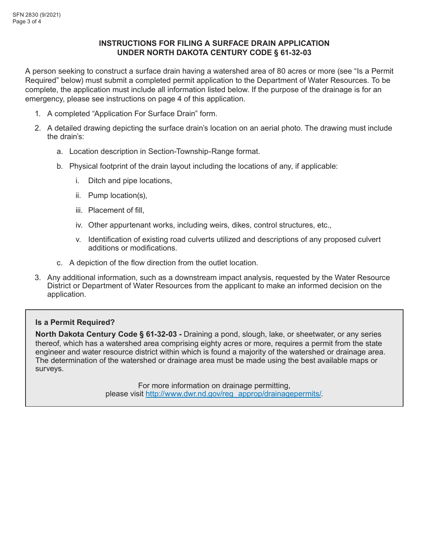# **INSTRUCTIONS FOR FILING A SURFACE DRAIN APPLICATION UNDER NORTH DAKOTA CENTURY CODE § 61-32-03**

A person seeking to construct a surface drain having a watershed area of 80 acres or more (see "Is a Permit Required" below) must submit a completed permit application to the Department of Water Resources. To be complete, the application must include all information listed below. If the purpose of the drainage is for an emergency, please see instructions on page 4 of this application.

- 1. A completed "Application For Surface Drain" form.
- 2. A detailed drawing depicting the surface drain's location on an aerial photo. The drawing must include the drain's:
	- a. Location description in Section-Township-Range format.
	- b. Physical footprint of the drain layout including the locations of any, if applicable:
		- i. Ditch and pipe locations,
		- ii. Pump location(s),
		- iii. Placement of fill,
		- iv. Other appurtenant works, including weirs, dikes, control structures, etc.,
		- v. Identification of existing road culverts utilized and descriptions of any proposed culvert additions or modifications.
	- c. A depiction of the flow direction from the outlet location.
- 3. Any additional information, such as a downstream impact analysis, requested by the Water Resource District or Department of Water Resources from the applicant to make an informed decision on the application.

# **Is a Permit Required?**

**North Dakota Century Code § 61-32-03 -** Draining a pond, slough, lake, or sheetwater, or any series thereof, which has a watershed area comprising eighty acres or more, requires a permit from the state engineer and water resource district within which is found a majority of the watershed or drainage area. The determination of the watershed or drainage area must be made using the best available maps or surveys.

> For more information on drainage permitting, please visit http://www.dwr.nd.gov/reg\_approp/drainagepermits/.